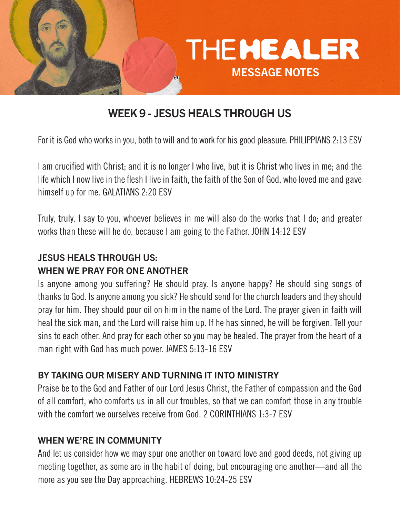

# WEEK 9 - JESUS HEALS THROUGH US

For it is God who works in you, both to will and to work for his good pleasure. PHILIPPIANS 2:13 ESV

I am crucified with Christ; and it is no longer I who live, but it is Christ who lives in me; and the life which I now live in the flesh I live in faith, the faith of the Son of God, who loved me and gave himself up for me. GALATIANS 2:20 ESV

Truly, truly, I say to you, whoever believes in me will also do the works that I do; and greater works than these will he do, because I am going to the Father. JOHN 14:12 ESV

### JESUS HEALS THROUGH US:

## WHEN WE PRAY FOR ONE ANOTHER

Is anyone among you suffering? He should pray. Is anyone happy? He should sing songs of thanks to God. Is anyone among you sick? He should send for the church leaders and they should pray for him. They should pour oil on him in the name of the Lord. The prayer given in faith will heal the sick man, and the Lord will raise him up. If he has sinned, he will be forgiven. Tell your sins to each other. And pray for each other so you may be healed. The prayer from the heart of a man right with God has much power. JAMES 5:13-16 ESV

### BY TAKING OUR MISERY AND TURNING IT INTO MINISTRY

Praise be to the God and Father of our Lord Jesus Christ, the Father of compassion and the God of all comfort, who comforts us in all our troubles, so that we can comfort those in any trouble with the comfort we ourselves receive from God. 2 CORINTHIANS 1:3-7 ESV

### WHEN WE'RE IN COMMUNITY

And let us consider how we may spur one another on toward love and good deeds, not giving up meeting together, as some are in the habit of doing, but encouraging one another—and all the more as you see the Day approaching. HEBREWS 10:24-25 ESV